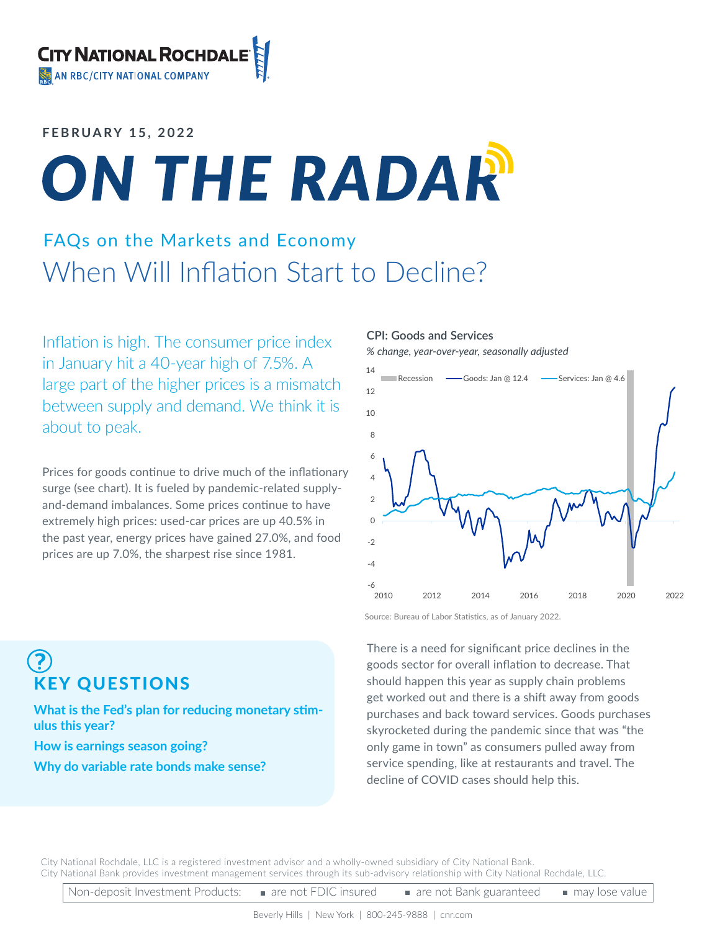### **FEBRUARY 15, 2022**

# ON THE RADAR

### FAQs on the Markets and Economy When Will Inflation Start to Decline?

Inflation is high. The consumer price index in January hit a 40-year high of 7.5%. A large part of the higher prices is a mismatch between supply and demand. We think it is about to peak.

Prices for goods continue to drive much of the inflationary surge (see chart). It is fueled by pandemic-related supplyand-demand imbalances. Some prices continue to have extremely high prices: used-car prices are up 40.5% in the past year, energy prices have gained 27.0%, and food prices are up 7.0%, the sharpest rise since 1981.

#### **CPI: Goods and Services**

*% change, year-over-year, seasonally adjusted*



Source: Bureau of Labor Statistics, as of January 2022.

There is a need for significant price declines in the goods sector for overall inflation to decrease. That should happen this year as supply chain problems get worked out and there is a shift away from goods purchases and back toward services. Goods purchases skyrocketed during the pandemic since that was "the only game in town" as consumers pulled away from service spending, like at restaurants and travel. The decline of COVID cases should help this.

## KEY QUESTIONS

**What is the Fed's plan for reducing monetary stimulus this year?**

**How is earnings season going?**

**Why do variable rate bonds make sense?**

City National Rochdale, LLC is a registered investment advisor and a wholly-owned subsidiary of City National Bank. City National Bank provides investment management services through its sub-advisory relationship with City National Rochdale, LLC.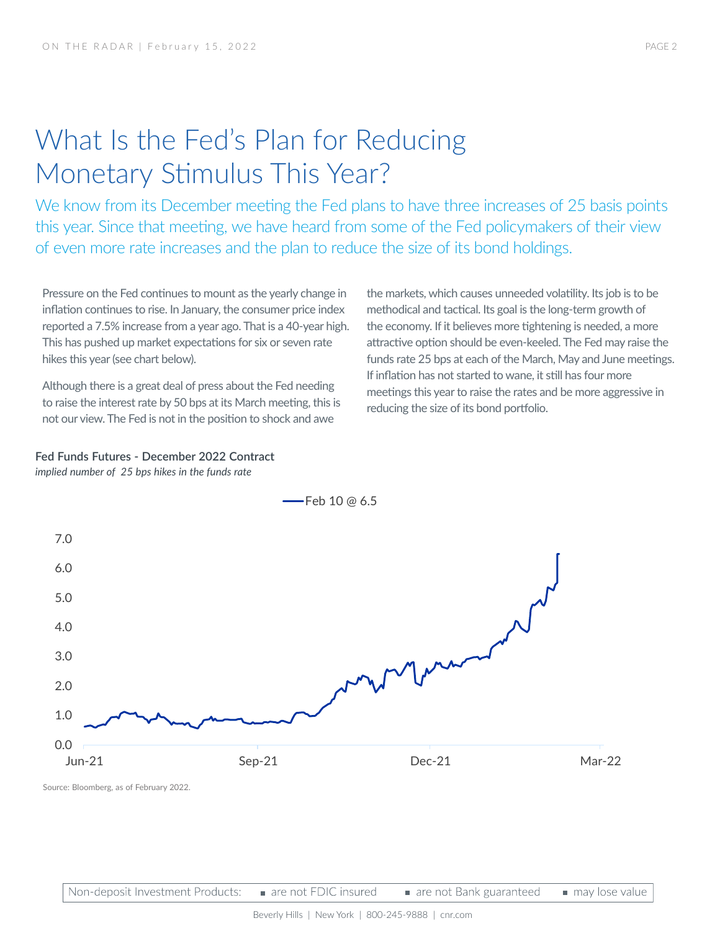### What Is the Fed's Plan for Reducing Monetary Stimulus This Year?

We know from its December meeting the Fed plans to have three increases of 25 basis points this year. Since that meeting, we have heard from some of the Fed policymakers of their view of even more rate increases and the plan to reduce the size of its bond holdings.

Pressure on the Fed continues to mount as the yearly change in inflation continues to rise. In January, the consumer price index reported a 7.5% increase from a year ago. That is a 40-year high. This has pushed up market expectations for six or seven rate hikes this year (see chart below).

Although there is a great deal of press about the Fed needing to raise the interest rate by 50 bps at its March meeting, this is not our view. The Fed is not in the position to shock and awe

the markets, which causes unneeded volatility. Its job is to be methodical and tactical. Its goal is the long-term growth of the economy. If it believes more tightening is needed, a more attractive option should be even-keeled. The Fed may raise the funds rate 25 bps at each of the March, May and June meetings. If inflation has not started to wane, it still has four more meetings this year to raise the rates and be more aggressive in reducing the size of its bond portfolio.

#### **Fed Funds Futures - December 2022 Contract** *implied number of 25 bps hikes in the funds rate*



 $-$ Feb 10 @ 6.5

Source: Bloomberg, as of February 2022.

Non-deposit Investment Products: are not FDIC insured are not Bank guaranteed may lose value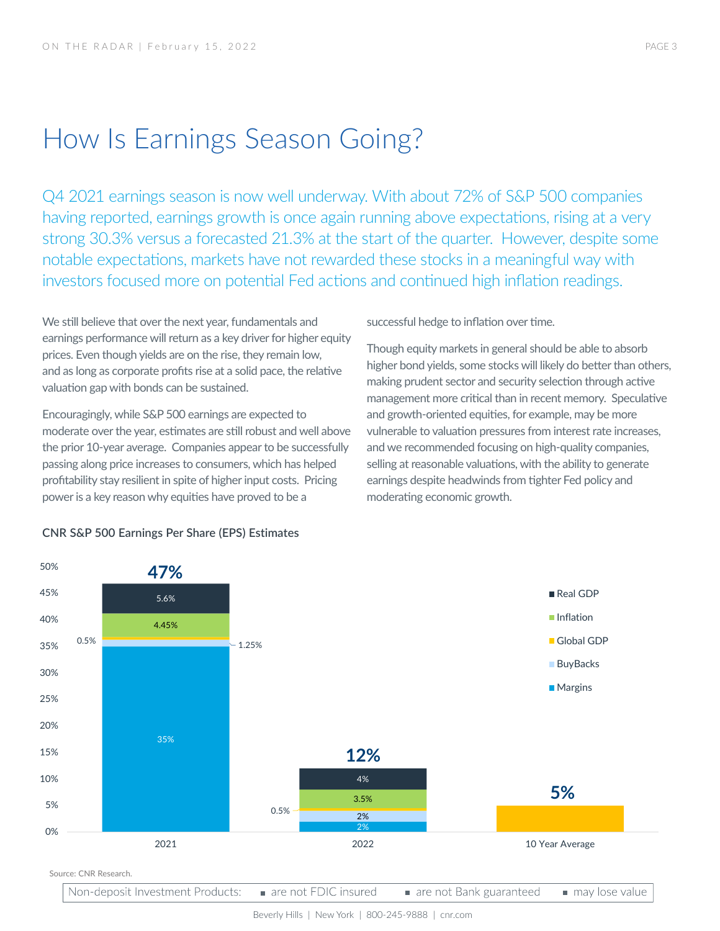### How Is Earnings Season Going?

Q4 2021 earnings season is now well underway. With about 72% of S&P 500 companies having reported, earnings growth is once again running above expectations, rising at a very strong 30.3% versus a forecasted 21.3% at the start of the quarter. However, despite some notable expectations, markets have not rewarded these stocks in a meaningful way with investors focused more on potential Fed actions and continued high inflation readings.

We still believe that over the next year, fundamentals and earnings performance will return as a key driver for higher equity prices. Even though yields are on the rise, they remain low, and as long as corporate profits rise at a solid pace, the relative valuation gap with bonds can be sustained.

Encouragingly, while S&P 500 earnings are expected to moderate over the year, estimates are still robust and well above the prior 10-year average. Companies appear to be successfully passing along price increases to consumers, which has helped profitability stay resilient in spite of higher input costs. Pricing power is a key reason why equities have proved to be a

successful hedge to inflation over time.

Though equity markets in general should be able to absorb higher bond yields, some stocks will likely do better than others, making prudent sector and security selection through active management more critical than in recent memory. Speculative and growth-oriented equities, for example, may be more vulnerable to valuation pressures from interest rate increases, and we recommended focusing on high-quality companies, selling at reasonable valuations, with the ability to generate earnings despite headwinds from tighter Fed policy and moderating economic growth.



#### **CNR S&P 500 Earnings Per Share (EPS) Estimates**

Beverly Hills | New York | 800-245-9888 | cnr.com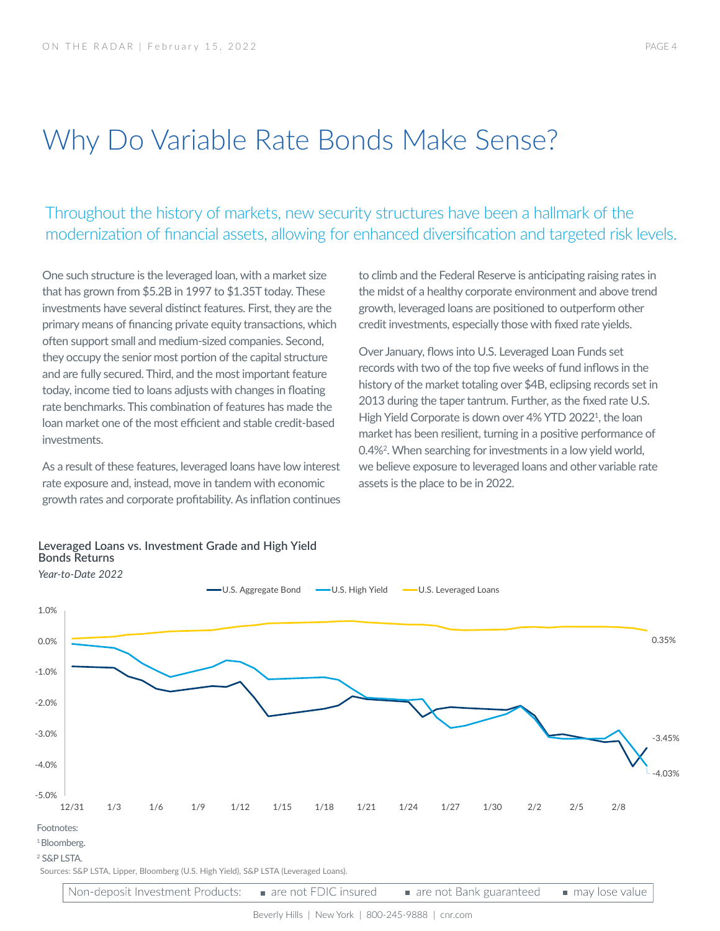### Why Do Variable Rate Bonds Make Sense?

Throughout the history of markets, new security structures have been a hallmark of the modernization of financial assets, allowing for enhanced diversification and targeted risk levels.

One such structure is the leveraged loan, with a market size that has grown from \$5.2B in 1997 to \$1.35T today. These investments have several distinct features. First, they are the primary means of financing private equity transactions, which often support small and medium-sized companies. Second, they occupy the senior most portion of the capital structure and are fully secured. Third, and the most important feature today, income tied to loans adjusts with changes in floating rate benchmarks. This combination of features has made the loan market one of the most efficient and stable credit-based investments.

As a result of these features, leveraged loans have low interest rate exposure and, instead, move in tandem with economic growth rates and corporate profitability. As inflation continues to climb and the Federal Reserve is anticipating raising rates in the midst of a healthy corporate environment and above trend growth, leveraged loans are positioned to outperform other credit investments, especially those with fixed rate yields.

Over January, flows into U.S. Leveraged Loan Funds set records with two of the top five weeks of fund inflows in the history of the market totaling over \$4B, eclipsing records set in 2013 during the taper tantrum. Further, as the fixed rate U.S. High Yield Corporate is down over 4% YTD 2022<sup>1</sup>, the loan market has been resilient, turning in a positive performance of 0.4%2 . When searching for investments in a low yield world, we believe exposure to leveraged loans and other variable rate assets is the place to be in 2022.



#### **Leveraged Loans vs. Investment Grade and High Yield Bonds Returns**

Non-deposit Investment Products: are not FDIC insured are not Bank guaranteed may lose value

Beverly Hills | New York | 800-245-9888 | cnr.com